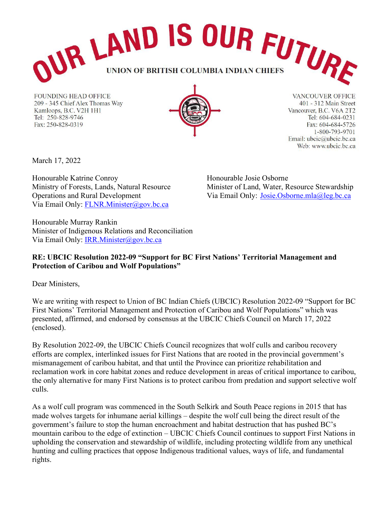

**FOUNDING HEAD OFFICE** 209 - 345 Chief Alex Thomas Way Kamloops, B.C. V2H 1H1 Tel: 250-828-9746 Fax: 250-828-0319



**VANCOUVER OFFICE** 401 - 312 Main Street Vancouver, B.C. V6A 2T2 Tel: 604-684-0231 Fax: 604-684-5726 1-800-793-9701 Email: ubcic@ubcic.bc.ca Web: www.ubcic.bc.ca

March 17, 2022

Honourable Katrine Conroy Ministry of Forests, Lands, Natural Resource Operations and Rural Development Via Email Only: [FLNR.Minister@gov.bc.ca](mailto:FLNR.Minister@gov.bc.ca)

Honourable Josie Osborne Minister of Land, Water, Resource Stewardship Via Email Only: [Josie.Osborne.mla@leg.bc.ca](mailto:Josie.Osborne.mla@leg.bc.ca)

Honourable Murray Rankin Minister of Indigenous Relations and Reconciliation Via Email Only: [IRR.Minister@gov.bc.ca](mailto:IRR.Minister@gov.bc.ca)

## **RE: UBCIC Resolution 2022-09 "Support for BC First Nations' Territorial Management and Protection of Caribou and Wolf Populations"**

Dear Ministers,

We are writing with respect to Union of BC Indian Chiefs (UBCIC) Resolution 2022-09 "Support for BC First Nations' Territorial Management and Protection of Caribou and Wolf Populations" which was presented, affirmed, and endorsed by consensus at the UBCIC Chiefs Council on March 17, 2022 (enclosed).

By Resolution 2022-09, the UBCIC Chiefs Council recognizes that wolf culls and caribou recovery efforts are complex, interlinked issues for First Nations that are rooted in the provincial government's mismanagement of caribou habitat, and that until the Province can prioritize rehabilitation and reclamation work in core habitat zones and reduce development in areas of critical importance to caribou, the only alternative for many First Nations is to protect caribou from predation and support selective wolf culls.

As a wolf cull program was commenced in the South Selkirk and South Peace regions in 2015 that has made wolves targets for inhumane aerial killings – despite the wolf cull being the direct result of the government's failure to stop the human encroachment and habitat destruction that has pushed BC's mountain caribou to the edge of extinction – UBCIC Chiefs Council continues to support First Nations in upholding the conservation and stewardship of wildlife, including protecting wildlife from any unethical hunting and culling practices that oppose Indigenous traditional values, ways of life, and fundamental rights.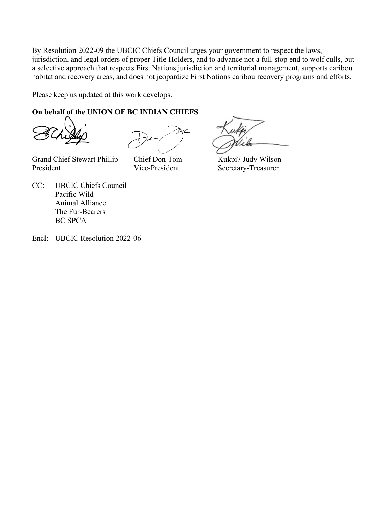By Resolution 2022-09 the UBCIC Chiefs Council urges your government to respect the laws, jurisdiction, and legal orders of proper Title Holders, and to advance not a full-stop end to wolf culls, but a selective approach that respects First Nations jurisdiction and territorial management, supports caribou habitat and recovery areas, and does not jeopardize First Nations caribou recovery programs and efforts.

Please keep us updated at this work develops.

## **On behalf of the UNION OF BC INDIAN CHIEFS**

Grand Chief Stewart Phillip Chief Don Tom Kukpi7 Judy Wilson President Vice-President Secretary-Treasurer

- CC: UBCIC Chiefs Council Pacific Wild Animal Alliance The Fur-Bearers BC SPCA
- Encl: UBCIC Resolution 2022-06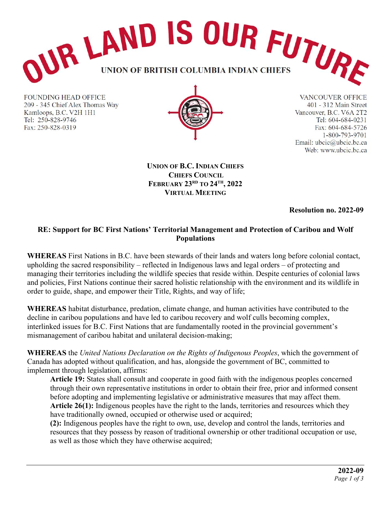

**FOUNDING HEAD OFFICE** 209 - 345 Chief Alex Thomas Way Kamloops, B.C. V2H 1H1 Tel: 250-828-9746 Fax: 250-828-0319



**VANCOUVER OFFICE** 401 - 312 Main Street Vancouver, B.C. V6A 2T2 Tel: 604-684-0231 Fax: 604-684-5726 1-800-793-9701 Email: ubcic@ubcic.bc.ca Web: www.ubcic.bc.ca

**UNION OF B.C. INDIAN CHIEFS CHIEFS COUNCIL FEBRUARY 23RD TO 24TH, 2022 VIRTUAL MEETING**

**Resolution no. 2022-09**

## **RE: Support for BC First Nations' Territorial Management and Protection of Caribou and Wolf Populations**

**WHEREAS** First Nations in B.C. have been stewards of their lands and waters long before colonial contact, upholding the sacred responsibility – reflected in Indigenous laws and legal orders – of protecting and managing their territories including the wildlife species that reside within. Despite centuries of colonial laws and policies, First Nations continue their sacred holistic relationship with the environment and its wildlife in order to guide, shape, and empower their Title, Rights, and way of life;

**WHEREAS** habitat disturbance, predation, climate change, and human activities have contributed to the decline in caribou populations and have led to caribou recovery and wolf culls becoming complex, interlinked issues for B.C. First Nations that are fundamentally rooted in the provincial government's mismanagement of caribou habitat and unilateral decision-making;

**WHEREAS** the *United Nations Declaration on the Rights of Indigenous Peoples*, which the government of Canada has adopted without qualification, and has, alongside the government of BC, committed to implement through legislation, affirms:

**Article 19:** States shall consult and cooperate in good faith with the indigenous peoples concerned through their own representative institutions in order to obtain their free, prior and informed consent before adopting and implementing legislative or administrative measures that may affect them. **Article 26(1):** Indigenous peoples have the right to the lands, territories and resources which they have traditionally owned, occupied or otherwise used or acquired;

**(2):** Indigenous peoples have the right to own, use, develop and control the lands, territories and resources that they possess by reason of traditional ownership or other traditional occupation or use, as well as those which they have otherwise acquired;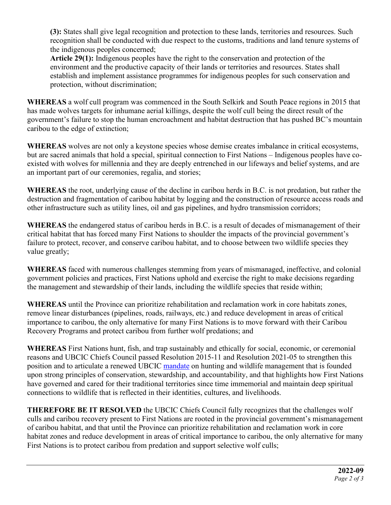**(3):** States shall give legal recognition and protection to these lands, territories and resources. Such recognition shall be conducted with due respect to the customs, traditions and land tenure systems of the indigenous peoples concerned;

**Article 29(1):** Indigenous peoples have the right to the conservation and protection of the environment and the productive capacity of their lands or territories and resources. States shall establish and implement assistance programmes for indigenous peoples for such conservation and protection, without discrimination;

**WHEREAS** a wolf cull program was commenced in the South Selkirk and South Peace regions in 2015 that has made wolves targets for inhumane aerial killings, despite the wolf cull being the direct result of the government's failure to stop the human encroachment and habitat destruction that has pushed BC's mountain caribou to the edge of extinction;

**WHEREAS** wolves are not only a keystone species whose demise creates imbalance in critical ecosystems, but are sacred animals that hold a special, spiritual connection to First Nations – Indigenous peoples have coexisted with wolves for millennia and they are deeply entrenched in our lifeways and belief systems, and are an important part of our ceremonies, regalia, and stories;

**WHEREAS** the root, underlying cause of the decline in caribou herds in B.C. is not predation, but rather the destruction and fragmentation of caribou habitat by logging and the construction of resource access roads and other infrastructure such as utility lines, oil and gas pipelines, and hydro transmission corridors;

**WHEREAS** the endangered status of caribou herds in B.C. is a result of decades of mismanagement of their critical habitat that has forced many First Nations to shoulder the impacts of the provincial government's failure to protect, recover, and conserve caribou habitat, and to choose between two wildlife species they value greatly;

**WHEREAS** faced with numerous challenges stemming from years of mismanaged, ineffective, and colonial government policies and practices, First Nations uphold and exercise the right to make decisions regarding the management and stewardship of their lands, including the wildlife species that reside within;

**WHEREAS** until the Province can prioritize rehabilitation and reclamation work in core habitats zones, remove linear disturbances (pipelines, roads, railways, etc.) and reduce development in areas of critical importance to caribou, the only alternative for many First Nations is to move forward with their Caribou Recovery Programs and protect caribou from further wolf predations; and

**WHEREAS** First Nations hunt, fish, and trap sustainably and ethically for social, economic, or ceremonial reasons and UBCIC Chiefs Council passed Resolution 2015-11 and Resolution 2021-05 to strengthen this position and to articulate a renewed UBCIC [mandate](https://d3n8a8pro7vhmx.cloudfront.net/ubcic/pages/4404/attachments/original/1622508661/7.1.9.UBCIC_CC02_24_Resolution2021_05_HuntingPaper_Mandate.pdf?1622508661) on hunting and wildlife management that is founded upon strong principles of conservation, stewardship, and accountability, and that highlights how First Nations have governed and cared for their traditional territories since time immemorial and maintain deep spiritual connections to wildlife that is reflected in their identities, cultures, and livelihoods.

**THEREFORE BE IT RESOLVED** the UBCIC Chiefs Council fully recognizes that the challenges wolf culls and caribou recovery present to First Nations are rooted in the provincial government's mismanagement of caribou habitat, and that until the Province can prioritize rehabilitation and reclamation work in core habitat zones and reduce development in areas of critical importance to caribou, the only alternative for many First Nations is to protect caribou from predation and support selective wolf culls;